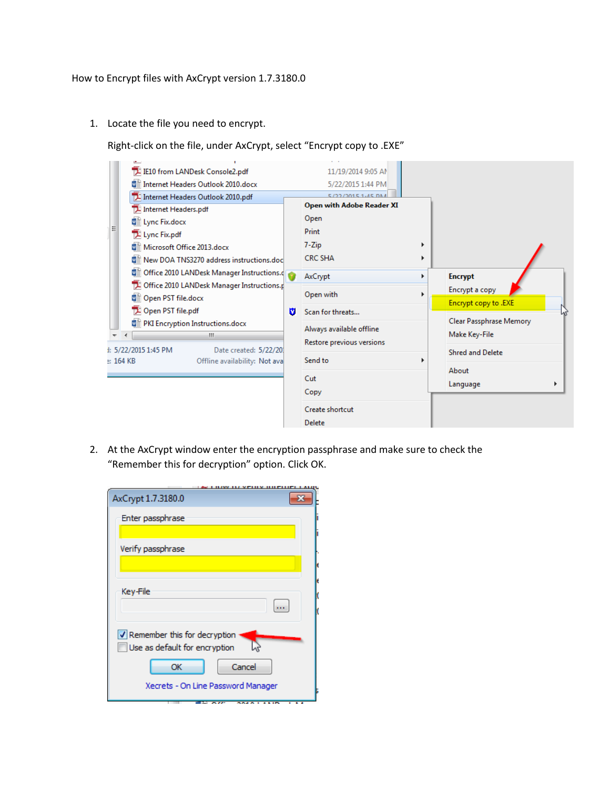1. Locate the file you need to encrypt.

Right-click on the file, under AxCrypt, select "Encrypt copy to .EXE"

|                                           |  | ست                                            |   |                                  |                                                   |                            |
|-------------------------------------------|--|-----------------------------------------------|---|----------------------------------|---------------------------------------------------|----------------------------|
| Ξ                                         |  | IZ IE10 from LANDesk Console2.pdf             |   | 11/19/2014 9:05 AM               |                                                   |                            |
|                                           |  | ■ Internet Headers Outlook 2010.docx          |   | 5/22/2015 1:44 PM                |                                                   |                            |
|                                           |  | IZ Internet Headers Outlook 2010.pdf          |   | 5/22/2015 1-45 DM                |                                                   |                            |
|                                           |  | Internet Headers.pdf                          |   | <b>Open with Adobe Reader XI</b> |                                                   |                            |
|                                           |  | ■ Lync Fix.docx                               |   | Open                             |                                                   |                            |
|                                           |  | Lync Fix.pdf                                  |   | Print                            |                                                   |                            |
|                                           |  | ■ Microsoft Office 2013.docx                  |   | 7-Zip                            |                                                   |                            |
|                                           |  | ■ New DOA TNS3270 address instructions.doc    |   | <b>CRC SHA</b>                   |                                                   |                            |
|                                           |  | ■ Office 2010 LANDesk Manager Instructions.de |   |                                  | AxCrypt<br><b>Encrypt</b><br>Þ.<br>Encrypt a copy |                            |
|                                           |  | Office 2010 LANDesk Manager Instructions.p    |   |                                  |                                                   |                            |
|                                           |  | ■ Open PST file.docx                          |   | Open with<br>Scan for threats    |                                                   |                            |
|                                           |  | Open PST file.pdf                             | M |                                  |                                                   | Encrypt copy to .EXE<br>hì |
|                                           |  | ■ PKI Encryption Instructions.docx            |   |                                  |                                                   | Clear Passphrase Memory    |
|                                           |  | m.                                            |   | Always available offline         |                                                   | Make Key-File              |
|                                           |  | : 5/22/2015 1:45 PM<br>Date created: 5/22/201 |   | Restore previous versions        |                                                   |                            |
| : 164 KB<br>Offline availability: Not ava |  |                                               |   | Send to                          |                                                   | <b>Shred and Delete</b>    |
|                                           |  |                                               |   |                                  |                                                   | About                      |
|                                           |  |                                               |   | Cut                              |                                                   | Language                   |
|                                           |  |                                               |   | Copy                             |                                                   |                            |
|                                           |  |                                               |   | Create shortcut                  |                                                   |                            |
|                                           |  |                                               |   | <b>Delete</b>                    |                                                   |                            |
|                                           |  |                                               |   |                                  |                                                   |                            |

2. At the AxCrypt window enter the encryption passphrase and make sure to check the "Remember this for decryption" option. Click OK.

| <u>iw ili veinv hueli</u>          |
|------------------------------------|
| AxCrypt 1.7.3180.0                 |
| Enter passphrase                   |
|                                    |
| Verify passphrase                  |
|                                    |
|                                    |
| Key-File                           |
|                                    |
| Remember this for decryption       |
| Use as default for encryption      |
| OK<br>Cancel                       |
| Xecrets - On Line Password Manager |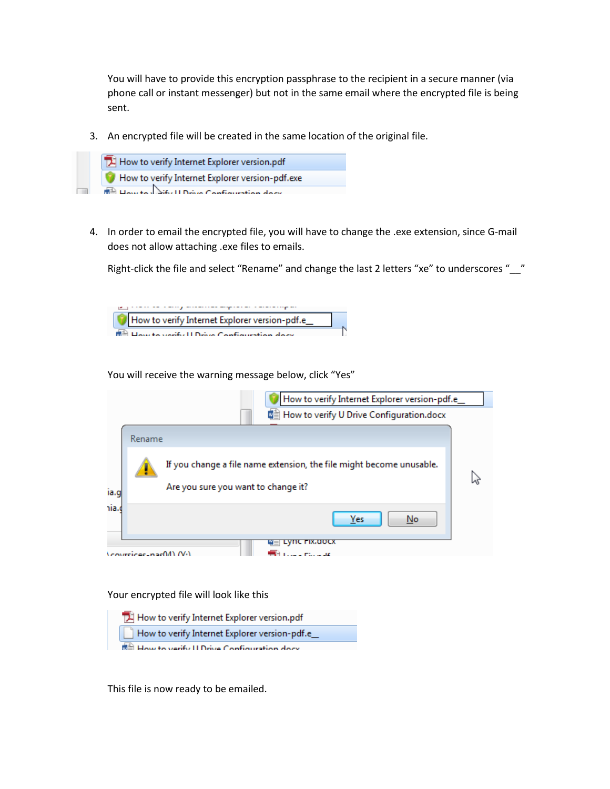You will have to provide this encryption passphrase to the recipient in a secure manner (via phone call or instant messenger) but not in the same email where the encrypted file is being sent.

3. An encrypted file will be created in the same location of the original file.



4. In order to email the encrypted file, you will have to change the .exe extension, since G-mail does not allow attaching .exe files to emails.

Right-click the file and select "Rename" and change the last 2 letters "xe" to underscores "\_\_"



You will receive the warning message below, click "Yes"

|       |                             | How to verify Internet Explorer version-pdf.e_                                                              |  |
|-------|-----------------------------|-------------------------------------------------------------------------------------------------------------|--|
|       |                             | WE How to verify U Drive Configuration.docx                                                                 |  |
|       | Rename                      |                                                                                                             |  |
| ia.g  |                             | If you change a file name extension, the file might become unusable.<br>Are you sure you want to change it? |  |
| iia.c |                             | Yes<br>No                                                                                                   |  |
|       | <b>Coverings-nac04)</b> (V) | <b>™≣⊢Lync гіх.uocx</b><br>control. Plan or old                                                             |  |

Your encrypted file will look like this



This file is now ready to be emailed.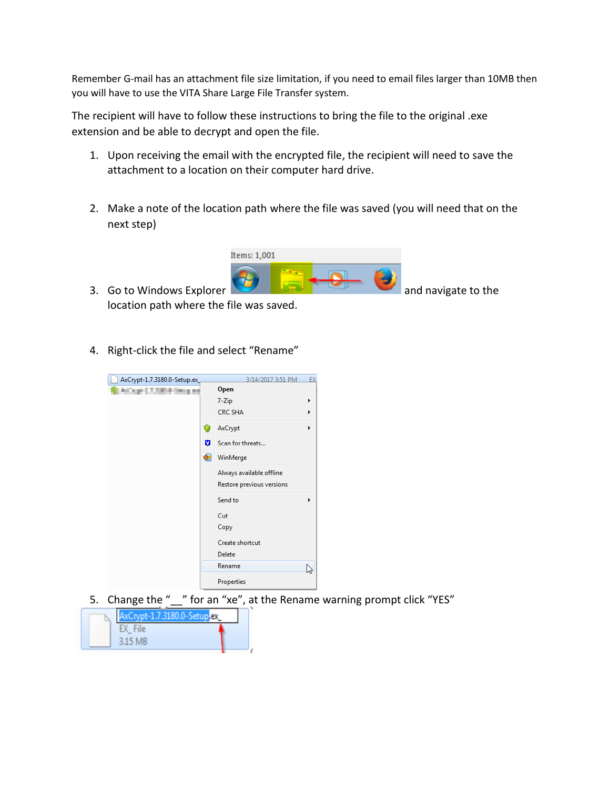Remember G-mail has an attachment file size limitation, if you need to email files larger than 10MB then you will have to use the VITA Share Large File Transfer system.

The recipient will have to follow these instructions to bring the file to the original .exe extension and be able to decrypt and open the file.

- 1. Upon receiving the email with the encrypted file, the recipient will need to save the attachment to a location on their computer hard drive.
- 2. Make a note of the location path where the file was saved (you will need that on the next step)



- location path where the file was saved.
- 4. Right-click the file and select "Rename"



5. Change the " " for an "xe", at the Rename warning prompt click "YES"